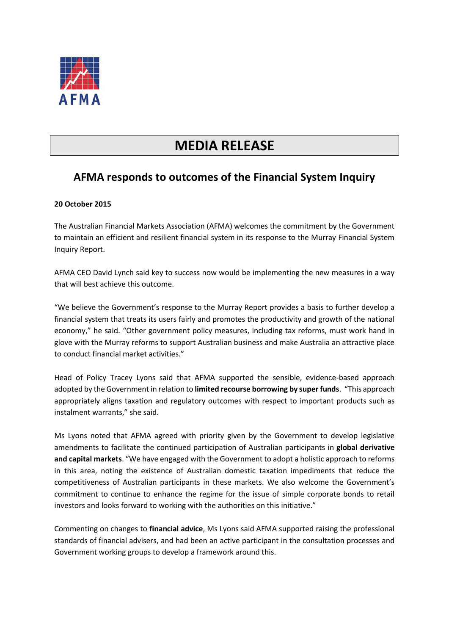

## **MEDIA RELEASE**

## **AFMA responds to outcomes of the Financial System Inquiry**

## **20 October 2015**

The Australian Financial Markets Association (AFMA) welcomes the commitment by the Government to maintain an efficient and resilient financial system in its response to the Murray Financial System Inquiry Report.

AFMA CEO David Lynch said key to success now would be implementing the new measures in a way that will best achieve this outcome.

"We believe the Government's response to the Murray Report provides a basis to further develop a financial system that treats its users fairly and promotes the productivity and growth of the national economy," he said. "Other government policy measures, including tax reforms, must work hand in glove with the Murray reforms to support Australian business and make Australia an attractive place to conduct financial market activities."

Head of Policy Tracey Lyons said that AFMA supported the sensible, evidence-based approach adopted by the Government in relation to **limited recourse borrowing by super funds**. "This approach appropriately aligns taxation and regulatory outcomes with respect to important products such as instalment warrants," she said.

Ms Lyons noted that AFMA agreed with priority given by the Government to develop legislative amendments to facilitate the continued participation of Australian participants in **global derivative and capital markets**. "We have engaged with the Government to adopt a holistic approach to reforms in this area, noting the existence of Australian domestic taxation impediments that reduce the competitiveness of Australian participants in these markets. We also welcome the Government's commitment to continue to enhance the regime for the issue of simple corporate bonds to retail investors and looks forward to working with the authorities on this initiative."

Commenting on changes to **financial advice**, Ms Lyons said AFMA supported raising the professional standards of financial advisers, and had been an active participant in the consultation processes and Government working groups to develop a framework around this.